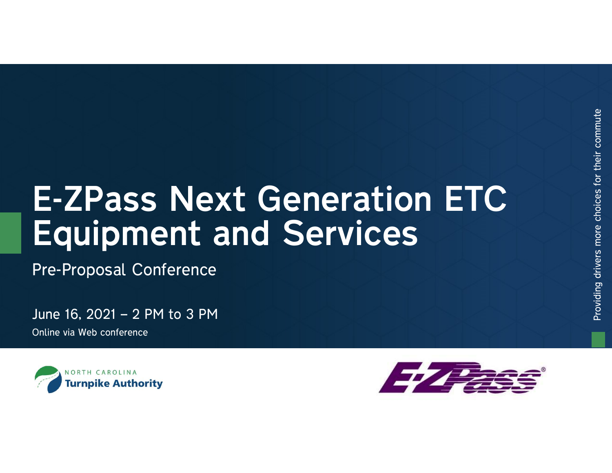# E-ZPass Next Generation ETC<br>
Equipment and Services<br>
Pre-Proposal Conference<br>
June 16, 2021 – 2 PM to 3 PM<br>
Online via Web conference Equipment and Services<br>Pre-Proposal Conference<br>June 16, 2021 – 2 PM to 3 PM<br>Online via Web conference

Pre-Proposal Conference

Online via Web conference



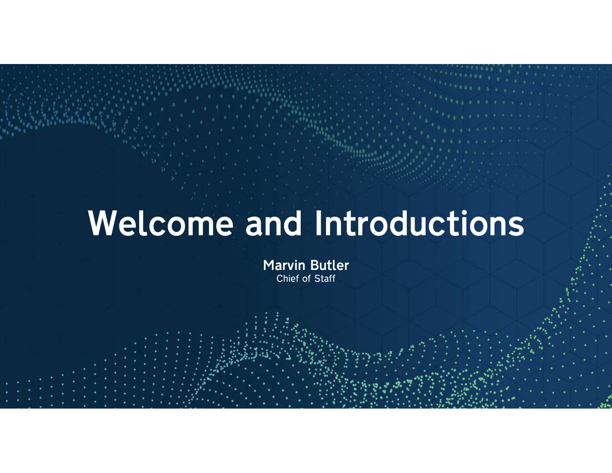### Welcome and Introductions

Marvin Butler Chief of Staff

22 July 2014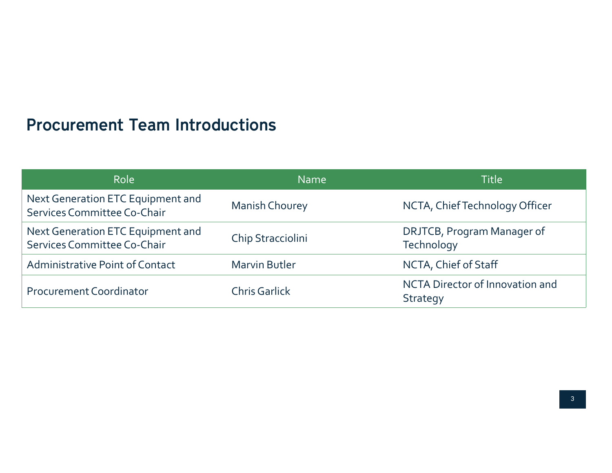### Procurement Team Introductions

| <b>Procurement Team Introductions</b>                            |                       |                                          |  |
|------------------------------------------------------------------|-----------------------|------------------------------------------|--|
| Role                                                             | Name                  | Title                                    |  |
| Next Generation ETC Equipment and                                | <b>Manish Chourey</b> | NCTA, Chief Technology Officer           |  |
| Services Committee Co-Chair                                      |                       |                                          |  |
| Next Generation ETC Equipment and<br>Services Committee Co-Chair | Chip Stracciolini     | DRJTCB, Program Manager of<br>Technology |  |
| <b>Administrative Point of Contact</b>                           | <b>Marvin Butler</b>  | NCTA, Chief of Staff                     |  |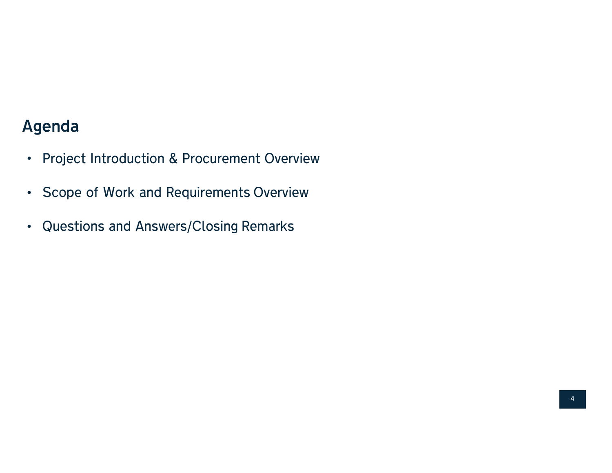### Agenda

- Agenda<br>• Project Introduction & Procurement Overview<br>- Control of Widtown Lines of the Control of the Control of the Control of the Control of the Control of the C Agenda<br>• Project Introduction & Procurement Overview<br>• Scope of Work and Requirements Overview • Project Introduction & Procurement Overview<br>• Scope of Work and Requirements Overview<br>• Questions and Answers/Closing Remarks
- 
-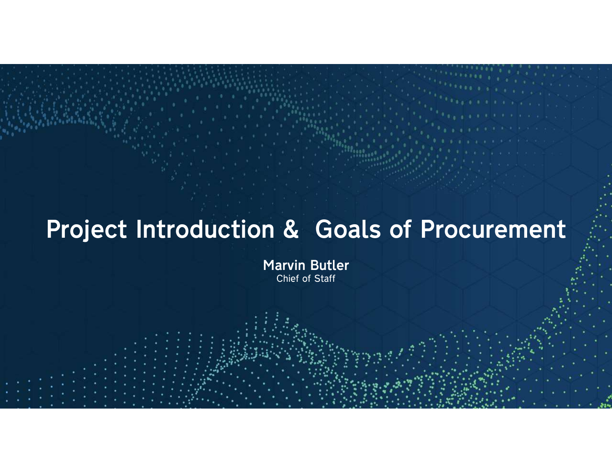### Project Introduction & Goals of Procurement

Marvin Butler Chief of Staff

5555555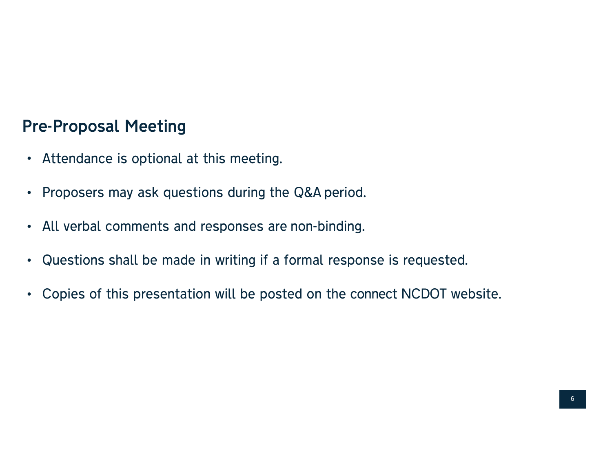## Pre-Proposal Meeting<br>Attendance is entianal at this mea

- Attendance is optional at this meeting.
- 
- 
- Proposal Meeting<br>• Attendance is optional at this meeting.<br>• Proposers may ask questions during the Q&A period.<br>• All verbal comments and responses are non-binding.<br>• Questions shall be made in writing if a formal respon • All verbal comments and responses are non-binding.<br>• Questions shall be made in writing if a formal response is requested.<br>• Copies of this presentation will be posted on the connect NCDOT website.
-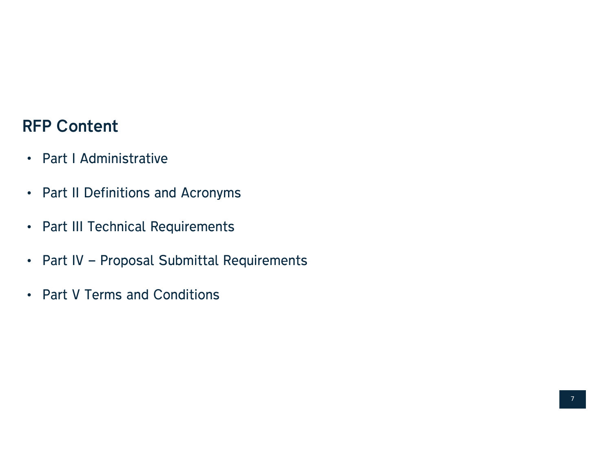## RFP Content

- Part I Administrative
- Part II Definitions and Acronyms
- Part III Technical Requirements
- Part II Definitions and Acronyms<br>• Part III Technical Requirements<br>• Part IV Proposal Submittal Requirements<br>• Part V Terms and Conditions
-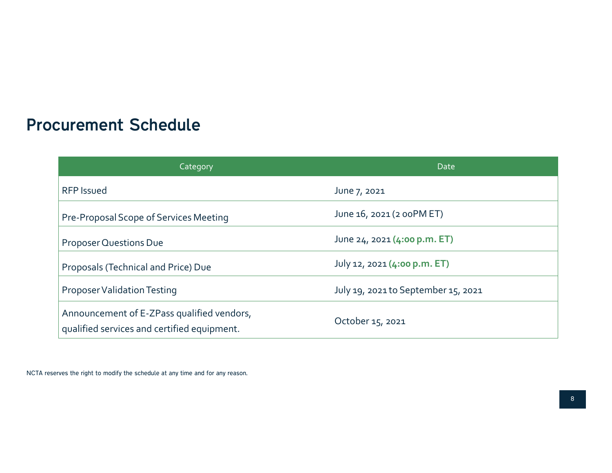### Procurement Schedule

| curement Schedule                      |                                     |
|----------------------------------------|-------------------------------------|
| Category                               | Date                                |
| <b>RFP Issued</b>                      | June 7, 2021                        |
| Pre-Proposal Scope of Services Meeting | June 16, 2021 (2 00PM ET)           |
| Proposer Questions Due                 | June 24, 2021 (4:00 p.m. ET)        |
|                                        |                                     |
| Proposals (Technical and Price) Due    | July 12, 2021 (4:00 p.m. ET)        |
| Proposer Validation Testing            | July 19, 2021 to September 15, 2021 |

NCTA reserves the right to modify the schedule at any time and for any reason.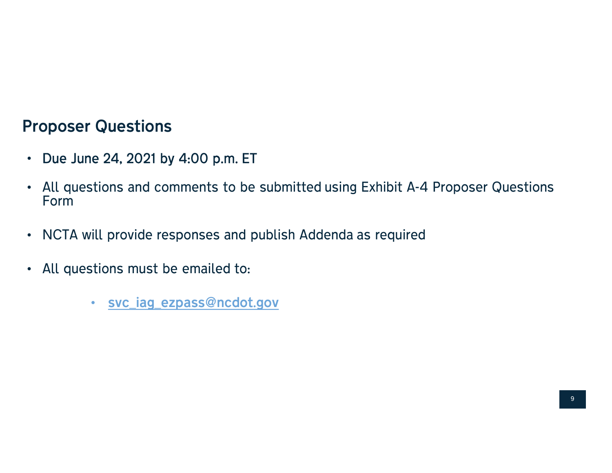## Proposer Questions<br>And Line 24, 2021 by 4:00 p.m

- 
- Due June 24, 2021 by 4:00 p.m. ET All questions and comments to be submitted using Exhibit A-4 Proposer Questions Form • Due June 24, 2021 by 4:00 p.m. ET<br>• All questions and comments to be submitted using Exhibit A-4 Proposer<br>• Form<br>• NCTA will provide responses and publish Addenda as required<br>• All questions must be emailed to:<br>• <u>svc\_ia</u>
- 
- -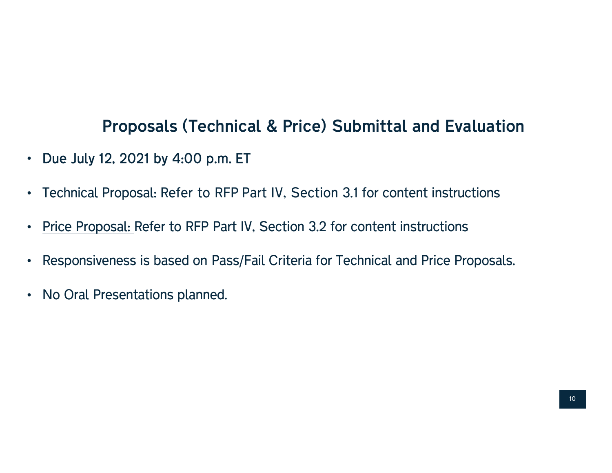### • Proposals (Technical & Price) Submittal and Evaluation<br>• Due July 12, 2021 by 4:00 p.m. ET<br>• <u>Technical Proposal: Refer to RFP Part IV, Section 3.1 for content instructions</u><br>• Price Proposal: Refer to RFP Part IV, Sectio Proposals (Technical & Price) Submittal and Evaluation<br>Due July 12, 2021 by 4:00 p.m. ET e)<br>I-485 Submittal and Evaluation<br>I-485 Royal Scope of Submittal and Evaluation

- 
- 
- 
- Responsiveness is based on Pass/Fail Criteria for Technical and Price Proposals.
- No Oral Presentations planned.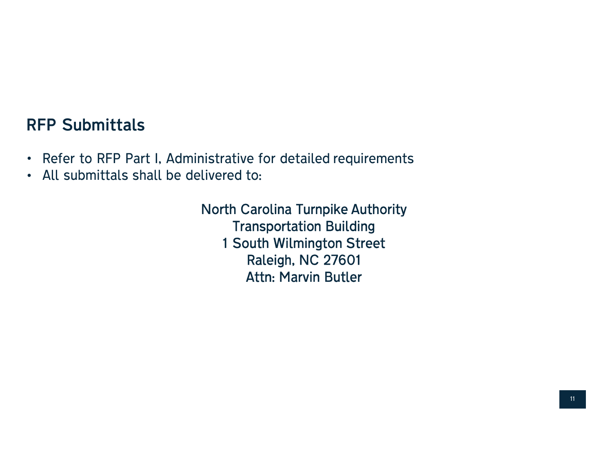### RFP Submittals

- Refer to RFP Part I, Administrative for detailed requirements All submittals shall be delivered to:
- 

North Carolina Turnpike Authority<br>North Carolina Turnpike Authority<br>Transportation Building • Refer to RFP Part I, Administrative for detailed requirements<br>• All submittals shall be delivered to:<br>• North Carolina Turnpike Authority<br>• Transportation Building<br>• 1 South Wilmington Street<br>• Raleigh, NC 27601 France for detailed requirements<br>
1 South Wilmington Street<br>
1 South Wilmington Street<br>
Raleigh, NC 27601 to:<br>Carolina Turnpike Authority<br>Ansportation Building<br>Puth Wilmington Street<br>Raleigh, NC 27601<br>Attn: Marvin Butler Attn: Marvin Butler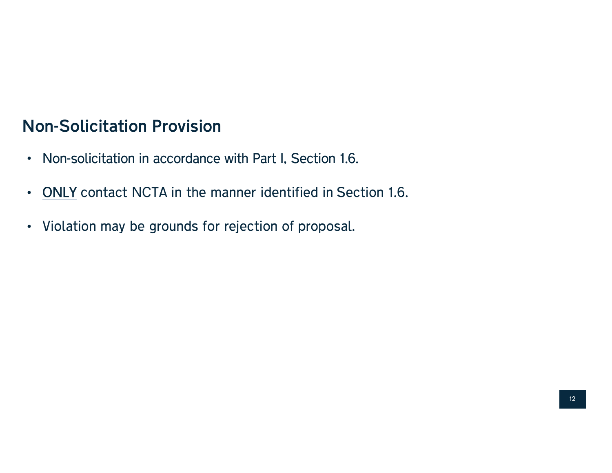### Non-Solicitation Provision

- Non-solicitation in accordance with Part I, Section 1.6.
- Non-solicitation Provision<br>• Non-solicitation in accordance with Part I, Section 1.6.<br>• ONLY contact NCTA in the manner identified in Section 1.6.<br>• Violation may be grounds for rejection of proposal.
-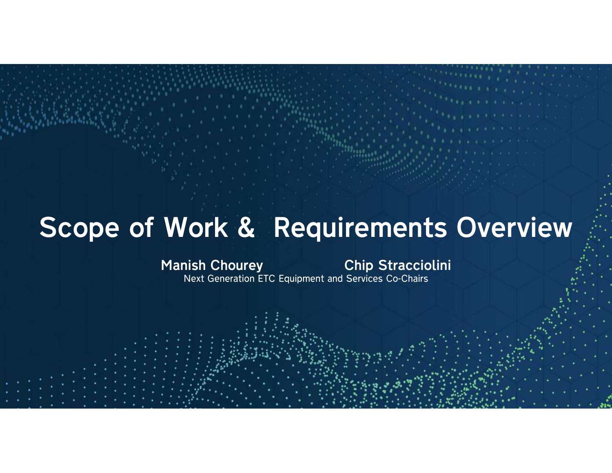### Scope of Work & Requirements Overview Work & Requirements Or<br>
Manish Chourey<br>
Next Generation ETC Equipment and Services Co-Chairs

13 Jan 2010

**Nish Chourey Endingly Chip Straccion**<br>Next Generation ETC Equipment and Services Co-Chairs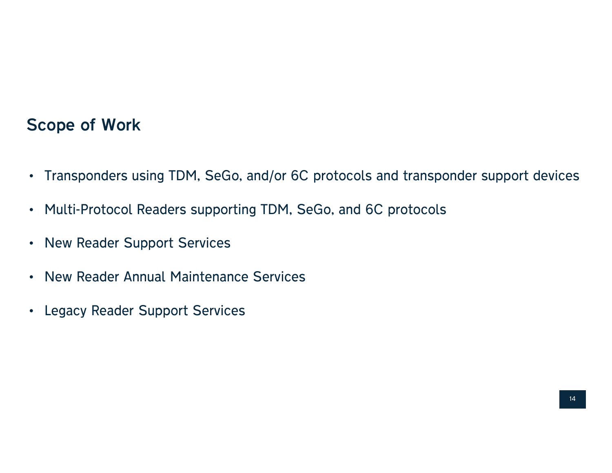### Scope of Work

- Transponders using TDM, SeGo, and/or 6C protocols and transponder support devices
- Multi-Protocol Readers supporting TDM, SeGo, and 6C protocols
- New Reader Support Services
- New Reader Annual Maintenance Services
- Legacy Reader Support Services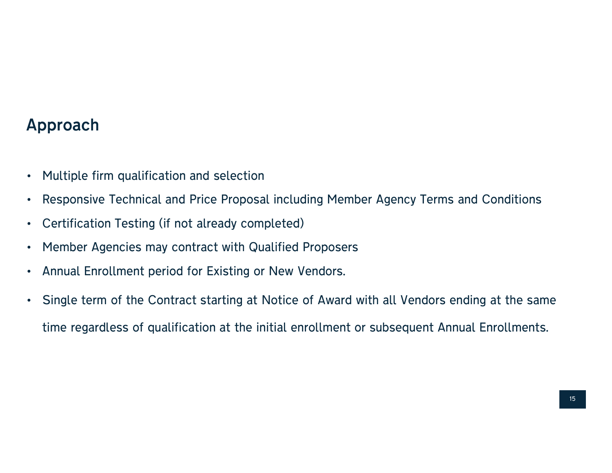### Approach

- Multiple firm qualification and selection
- Responsive Technical and Price Proposal including Member Agency Terms and Conditions
- Certification Testing (if not already completed)
- Member Agencies may contract with Qualified Proposers
- Annual Enrollment period for Existing or New Vendors.
- Single term of the Contract starting at Notice of Award with all Vendors ending at the same time regardless of qualification at the initial enrollment or subsequent Annual Enrollments.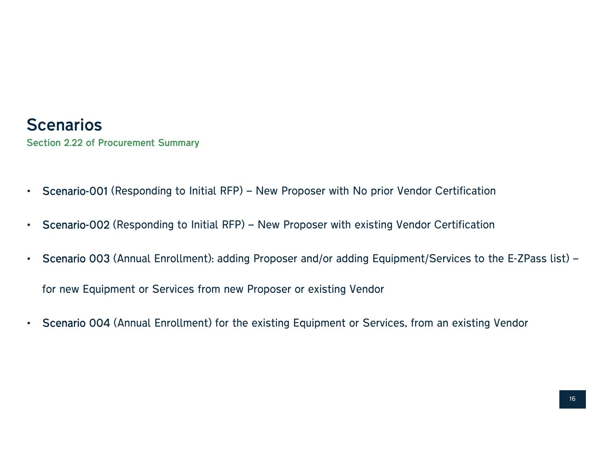### **Scenarios**

Section 2.22 of Procurement Summary

- 
- 
- Scenarios<br>
Section 2.22 of Procurement Summary<br>
 Scenario-001 (Responding to Initial RFP) New Proposer with No prior Vendor Certification<br>
 Scenario-002 (Responding to Initial RFP) New Proposer with existing Vendor C for new Equipment or Services from new Proposer or existing Vendor • Scenario 003 (Annual Enrollment): adding Proposer and/or adding Equipment/Services to the E-ZPass list)<br>for new Equipment or Services from new Proposer or existing Vendor<br>• Scenario 004 (Annual Enrollment) for the existi
-